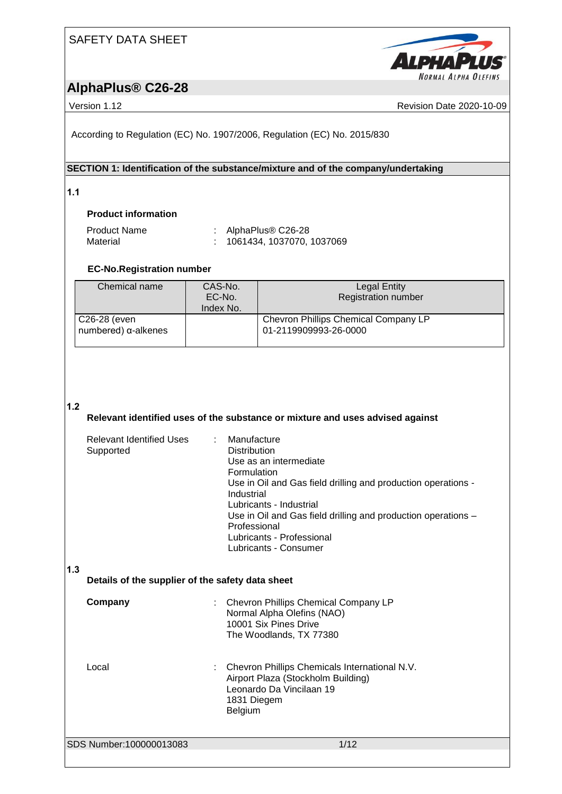

# **AlphaPlus® C26-28**

Version 1.12 **News** Revision Date 2020-10-09

According to Regulation (EC) No. 1907/2006, Regulation (EC) No. 2015/830

# **SECTION 1: Identification of the substance/mixture and of the company/undertaking**

**1.1** 

# **Product information**

| <b>Product Name</b> | : AlphaPlus $\circledR$ C26-28 |
|---------------------|--------------------------------|
| Material            | : 1061434, 1037070, 1037069    |

# **EC-No.Registration number**

| Chemical name                               | CAS-No.<br>EC-No.<br>Index No. | Legal Entity<br><b>Registration number</b>                    |
|---------------------------------------------|--------------------------------|---------------------------------------------------------------|
| C26-28 (even<br>numbered) $\alpha$ -alkenes |                                | Chevron Phillips Chemical Company LP<br>01-2119909993-26-0000 |

## **1.2**

## **Relevant identified uses of the substance or mixture and uses advised against**

|     | Relevant Identified Uses<br>Supported            | : Manufacture<br><b>Distribution</b><br>Use as an intermediate<br>Formulation<br>Use in Oil and Gas field drilling and production operations -<br>Industrial<br>Lubricants - Industrial<br>Use in Oil and Gas field drilling and production operations -<br>Professional<br>Lubricants - Professional<br>Lubricants - Consumer |
|-----|--------------------------------------------------|--------------------------------------------------------------------------------------------------------------------------------------------------------------------------------------------------------------------------------------------------------------------------------------------------------------------------------|
| 1.3 | Details of the supplier of the safety data sheet |                                                                                                                                                                                                                                                                                                                                |
|     | Company                                          | Chevron Phillips Chemical Company LP<br>Normal Alpha Olefins (NAO)<br>10001 Six Pines Drive<br>The Woodlands, TX 77380                                                                                                                                                                                                         |
|     | Local                                            | Chevron Phillips Chemicals International N.V.                                                                                                                                                                                                                                                                                  |

Airport Plaza (Stockholm Building) Leonardo Da Vincilaan 19 1831 Diegem Belgium

SDS Number:100000013083 1/12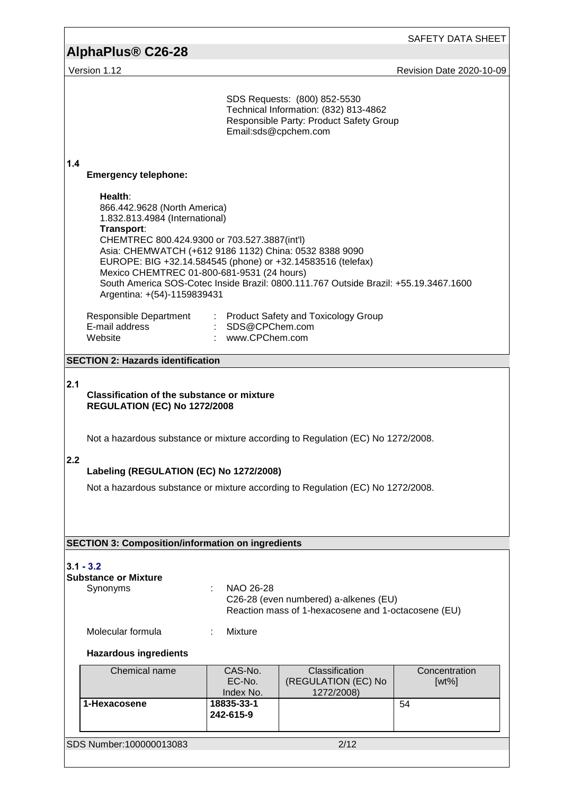# **AlphaPlus® C26-28**

Version 1.12 **Version 1.12** 

|             |                                                                                                                                                                                                                                                                                                                                               | Email:sds@cpchem.com                 | SDS Requests: (800) 852-5530<br>Technical Information: (832) 813-4862<br>Responsible Party: Product Safety Group |                           |
|-------------|-----------------------------------------------------------------------------------------------------------------------------------------------------------------------------------------------------------------------------------------------------------------------------------------------------------------------------------------------|--------------------------------------|------------------------------------------------------------------------------------------------------------------|---------------------------|
| 1.4         | <b>Emergency telephone:</b>                                                                                                                                                                                                                                                                                                                   |                                      |                                                                                                                  |                           |
|             | Health:<br>866.442.9628 (North America)<br>1.832.813.4984 (International)<br>Transport:<br>CHEMTREC 800.424.9300 or 703.527.3887(int'l)<br>Asia: CHEMWATCH (+612 9186 1132) China: 0532 8388 9090<br>EUROPE: BIG +32.14.584545 (phone) or +32.14583516 (telefax)<br>Mexico CHEMTREC 01-800-681-9531 (24 hours)<br>Argentina: +(54)-1159839431 |                                      | South America SOS-Cotec Inside Brazil: 0800.111.767 Outside Brazil: +55.19.3467.1600                             |                           |
|             | Responsible Department : Product Safety and Toxicology Group<br>E-mail address<br>Website                                                                                                                                                                                                                                                     | : SDS@CPChem.com<br>: www.CPChem.com |                                                                                                                  |                           |
|             | <b>SECTION 2: Hazards identification</b>                                                                                                                                                                                                                                                                                                      |                                      |                                                                                                                  |                           |
| 2.1         | <b>Classification of the substance or mixture</b><br><b>REGULATION (EC) No 1272/2008</b>                                                                                                                                                                                                                                                      |                                      |                                                                                                                  |                           |
|             | Not a hazardous substance or mixture according to Regulation (EC) No 1272/2008.                                                                                                                                                                                                                                                               |                                      |                                                                                                                  |                           |
| 2.2         | Labeling (REGULATION (EC) No 1272/2008)                                                                                                                                                                                                                                                                                                       |                                      |                                                                                                                  |                           |
|             | Not a hazardous substance or mixture according to Regulation (EC) No 1272/2008.                                                                                                                                                                                                                                                               |                                      |                                                                                                                  |                           |
|             |                                                                                                                                                                                                                                                                                                                                               |                                      |                                                                                                                  |                           |
|             |                                                                                                                                                                                                                                                                                                                                               |                                      |                                                                                                                  |                           |
|             | <b>SECTION 3: Composition/information on ingredients</b>                                                                                                                                                                                                                                                                                      |                                      |                                                                                                                  |                           |
| $3.1 - 3.2$ | <b>Substance or Mixture</b><br>Synonyms                                                                                                                                                                                                                                                                                                       | NAO 26-28                            | C26-28 (even numbered) a-alkenes (EU)<br>Reaction mass of 1-hexacosene and 1-octacosene (EU)                     |                           |
|             | Molecular formula                                                                                                                                                                                                                                                                                                                             | Mixture                              |                                                                                                                  |                           |
|             | <b>Hazardous ingredients</b>                                                                                                                                                                                                                                                                                                                  |                                      |                                                                                                                  |                           |
|             | Chemical name                                                                                                                                                                                                                                                                                                                                 | CAS-No.<br>EC-No.<br>Index No.       | Classification<br>(REGULATION (EC) No<br>1272/2008)                                                              | Concentration<br>$[wt\%]$ |
|             | 1-Hexacosene                                                                                                                                                                                                                                                                                                                                  | 18835-33-1<br>242-615-9              |                                                                                                                  | 54                        |
|             | SDS Number:100000013083                                                                                                                                                                                                                                                                                                                       |                                      | 2/12                                                                                                             |                           |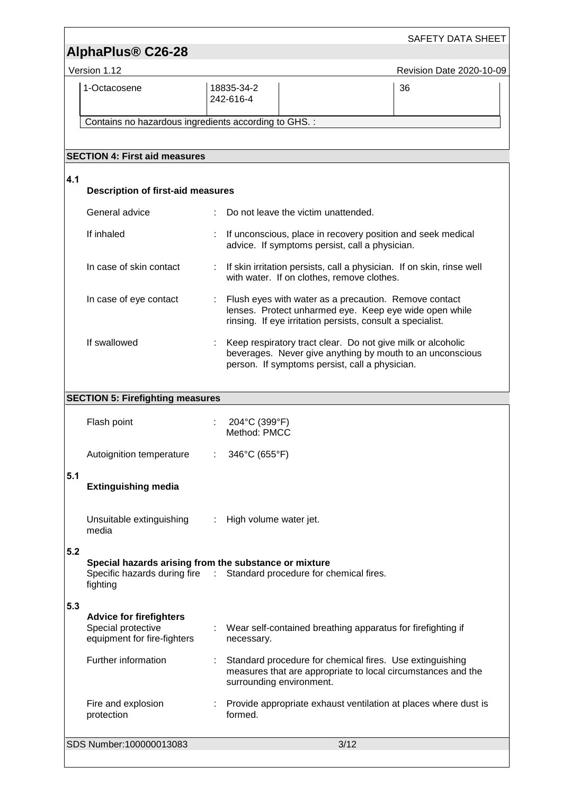| AlphaPlus <sup>®</sup> C26-28<br>Version 1.12<br>Revision Date 2020-10-09<br>1-Octacosene<br>18835-34-2<br>36<br>242-616-4<br>Contains no hazardous ingredients according to GHS. :<br><b>SECTION 4: First aid measures</b><br>4.1<br><b>Description of first-aid measures</b><br>General advice<br>Do not leave the victim unattended.<br>If inhaled<br>If unconscious, place in recovery position and seek medical<br>advice. If symptoms persist, call a physician.<br>In case of skin contact<br>: If skin irritation persists, call a physician. If on skin, rinse well<br>with water. If on clothes, remove clothes.<br>In case of eye contact<br>Flush eyes with water as a precaution. Remove contact<br>lenses. Protect unharmed eye. Keep eye wide open while<br>rinsing. If eye irritation persists, consult a specialist.<br>If swallowed<br>Keep respiratory tract clear. Do not give milk or alcoholic<br>beverages. Never give anything by mouth to an unconscious<br>person. If symptoms persist, call a physician.<br><b>SECTION 5: Firefighting measures</b><br>204°C (399°F)<br>Flash point<br>Method: PMCC<br>346°C (655°F)<br>Autoignition temperature<br>5.1<br><b>Extinguishing media</b><br>Unsuitable extinguishing<br>High volume water jet.<br>÷<br>media<br>5.2<br>Special hazards arising from the substance or mixture<br>Specific hazards during fire : Standard procedure for chemical fires.<br>fighting<br>5.3 |  |  | SAFETY DATA SHEET |
|--------------------------------------------------------------------------------------------------------------------------------------------------------------------------------------------------------------------------------------------------------------------------------------------------------------------------------------------------------------------------------------------------------------------------------------------------------------------------------------------------------------------------------------------------------------------------------------------------------------------------------------------------------------------------------------------------------------------------------------------------------------------------------------------------------------------------------------------------------------------------------------------------------------------------------------------------------------------------------------------------------------------------------------------------------------------------------------------------------------------------------------------------------------------------------------------------------------------------------------------------------------------------------------------------------------------------------------------------------------------------------------------------------------------------------------------------|--|--|-------------------|
|                                                                                                                                                                                                                                                                                                                                                                                                                                                                                                                                                                                                                                                                                                                                                                                                                                                                                                                                                                                                                                                                                                                                                                                                                                                                                                                                                                                                                                                  |  |  |                   |
|                                                                                                                                                                                                                                                                                                                                                                                                                                                                                                                                                                                                                                                                                                                                                                                                                                                                                                                                                                                                                                                                                                                                                                                                                                                                                                                                                                                                                                                  |  |  |                   |
|                                                                                                                                                                                                                                                                                                                                                                                                                                                                                                                                                                                                                                                                                                                                                                                                                                                                                                                                                                                                                                                                                                                                                                                                                                                                                                                                                                                                                                                  |  |  |                   |
|                                                                                                                                                                                                                                                                                                                                                                                                                                                                                                                                                                                                                                                                                                                                                                                                                                                                                                                                                                                                                                                                                                                                                                                                                                                                                                                                                                                                                                                  |  |  |                   |
|                                                                                                                                                                                                                                                                                                                                                                                                                                                                                                                                                                                                                                                                                                                                                                                                                                                                                                                                                                                                                                                                                                                                                                                                                                                                                                                                                                                                                                                  |  |  |                   |
|                                                                                                                                                                                                                                                                                                                                                                                                                                                                                                                                                                                                                                                                                                                                                                                                                                                                                                                                                                                                                                                                                                                                                                                                                                                                                                                                                                                                                                                  |  |  |                   |
|                                                                                                                                                                                                                                                                                                                                                                                                                                                                                                                                                                                                                                                                                                                                                                                                                                                                                                                                                                                                                                                                                                                                                                                                                                                                                                                                                                                                                                                  |  |  |                   |
|                                                                                                                                                                                                                                                                                                                                                                                                                                                                                                                                                                                                                                                                                                                                                                                                                                                                                                                                                                                                                                                                                                                                                                                                                                                                                                                                                                                                                                                  |  |  |                   |
|                                                                                                                                                                                                                                                                                                                                                                                                                                                                                                                                                                                                                                                                                                                                                                                                                                                                                                                                                                                                                                                                                                                                                                                                                                                                                                                                                                                                                                                  |  |  |                   |
|                                                                                                                                                                                                                                                                                                                                                                                                                                                                                                                                                                                                                                                                                                                                                                                                                                                                                                                                                                                                                                                                                                                                                                                                                                                                                                                                                                                                                                                  |  |  |                   |
|                                                                                                                                                                                                                                                                                                                                                                                                                                                                                                                                                                                                                                                                                                                                                                                                                                                                                                                                                                                                                                                                                                                                                                                                                                                                                                                                                                                                                                                  |  |  |                   |
|                                                                                                                                                                                                                                                                                                                                                                                                                                                                                                                                                                                                                                                                                                                                                                                                                                                                                                                                                                                                                                                                                                                                                                                                                                                                                                                                                                                                                                                  |  |  |                   |
|                                                                                                                                                                                                                                                                                                                                                                                                                                                                                                                                                                                                                                                                                                                                                                                                                                                                                                                                                                                                                                                                                                                                                                                                                                                                                                                                                                                                                                                  |  |  |                   |
|                                                                                                                                                                                                                                                                                                                                                                                                                                                                                                                                                                                                                                                                                                                                                                                                                                                                                                                                                                                                                                                                                                                                                                                                                                                                                                                                                                                                                                                  |  |  |                   |
|                                                                                                                                                                                                                                                                                                                                                                                                                                                                                                                                                                                                                                                                                                                                                                                                                                                                                                                                                                                                                                                                                                                                                                                                                                                                                                                                                                                                                                                  |  |  |                   |
|                                                                                                                                                                                                                                                                                                                                                                                                                                                                                                                                                                                                                                                                                                                                                                                                                                                                                                                                                                                                                                                                                                                                                                                                                                                                                                                                                                                                                                                  |  |  |                   |
|                                                                                                                                                                                                                                                                                                                                                                                                                                                                                                                                                                                                                                                                                                                                                                                                                                                                                                                                                                                                                                                                                                                                                                                                                                                                                                                                                                                                                                                  |  |  |                   |
|                                                                                                                                                                                                                                                                                                                                                                                                                                                                                                                                                                                                                                                                                                                                                                                                                                                                                                                                                                                                                                                                                                                                                                                                                                                                                                                                                                                                                                                  |  |  |                   |
| <b>Advice for firefighters</b><br>Special protective<br>Wear self-contained breathing apparatus for firefighting if<br>equipment for fire-fighters<br>necessary.                                                                                                                                                                                                                                                                                                                                                                                                                                                                                                                                                                                                                                                                                                                                                                                                                                                                                                                                                                                                                                                                                                                                                                                                                                                                                 |  |  |                   |
| Further information<br>Standard procedure for chemical fires. Use extinguishing<br>measures that are appropriate to local circumstances and the<br>surrounding environment.                                                                                                                                                                                                                                                                                                                                                                                                                                                                                                                                                                                                                                                                                                                                                                                                                                                                                                                                                                                                                                                                                                                                                                                                                                                                      |  |  |                   |
| Provide appropriate exhaust ventilation at places where dust is<br>Fire and explosion<br>formed.<br>protection                                                                                                                                                                                                                                                                                                                                                                                                                                                                                                                                                                                                                                                                                                                                                                                                                                                                                                                                                                                                                                                                                                                                                                                                                                                                                                                                   |  |  |                   |
| SDS Number:100000013083<br>3/12                                                                                                                                                                                                                                                                                                                                                                                                                                                                                                                                                                                                                                                                                                                                                                                                                                                                                                                                                                                                                                                                                                                                                                                                                                                                                                                                                                                                                  |  |  |                   |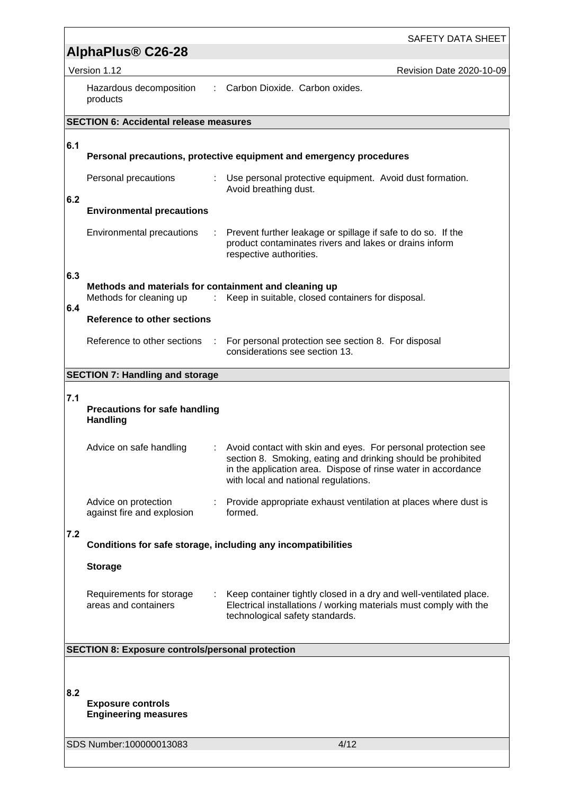|     | AlphaPlus® C26-28                                            | SAFETY DATA SHEET                                                                                                                                                                                                                      |
|-----|--------------------------------------------------------------|----------------------------------------------------------------------------------------------------------------------------------------------------------------------------------------------------------------------------------------|
|     | Version 1.12                                                 | Revision Date 2020-10-09                                                                                                                                                                                                               |
|     | Hazardous decomposition<br>products                          | Carbon Dioxide. Carbon oxides.                                                                                                                                                                                                         |
|     | <b>SECTION 6: Accidental release measures</b>                |                                                                                                                                                                                                                                        |
| 6.1 |                                                              |                                                                                                                                                                                                                                        |
|     |                                                              | Personal precautions, protective equipment and emergency procedures                                                                                                                                                                    |
| 6.2 | Personal precautions                                         | : Use personal protective equipment. Avoid dust formation.<br>Avoid breathing dust.                                                                                                                                                    |
|     | <b>Environmental precautions</b>                             |                                                                                                                                                                                                                                        |
|     | Environmental precautions                                    | : Prevent further leakage or spillage if safe to do so. If the<br>product contaminates rivers and lakes or drains inform<br>respective authorities.                                                                                    |
| 6.3 | Methods and materials for containment and cleaning up        |                                                                                                                                                                                                                                        |
|     | Methods for cleaning up<br>÷                                 | Keep in suitable, closed containers for disposal.                                                                                                                                                                                      |
| 6.4 | Reference to other sections                                  |                                                                                                                                                                                                                                        |
|     | Reference to other sections<br>÷                             | For personal protection see section 8. For disposal<br>considerations see section 13.                                                                                                                                                  |
|     | <b>SECTION 7: Handling and storage</b>                       |                                                                                                                                                                                                                                        |
| 7.1 |                                                              |                                                                                                                                                                                                                                        |
|     | <b>Precautions for safe handling</b><br><b>Handling</b>      |                                                                                                                                                                                                                                        |
|     | Advice on safe handling                                      | Avoid contact with skin and eyes. For personal protection see<br>section 8. Smoking, eating and drinking should be prohibited<br>in the application area. Dispose of rinse water in accordance<br>with local and national regulations. |
|     | Advice on protection<br>against fire and explosion           | Provide appropriate exhaust ventilation at places where dust is<br>formed.                                                                                                                                                             |
| 7.2 | Conditions for safe storage, including any incompatibilities |                                                                                                                                                                                                                                        |
|     |                                                              |                                                                                                                                                                                                                                        |
|     | <b>Storage</b>                                               |                                                                                                                                                                                                                                        |
|     | Requirements for storage<br>areas and containers             | Keep container tightly closed in a dry and well-ventilated place.<br>Electrical installations / working materials must comply with the<br>technological safety standards.                                                              |
|     | <b>SECTION 8: Exposure controls/personal protection</b>      |                                                                                                                                                                                                                                        |
|     |                                                              |                                                                                                                                                                                                                                        |
| 8.2 | <b>Exposure controls</b><br><b>Engineering measures</b>      |                                                                                                                                                                                                                                        |
|     | SDS Number:100000013083                                      | 4/12                                                                                                                                                                                                                                   |
|     |                                                              |                                                                                                                                                                                                                                        |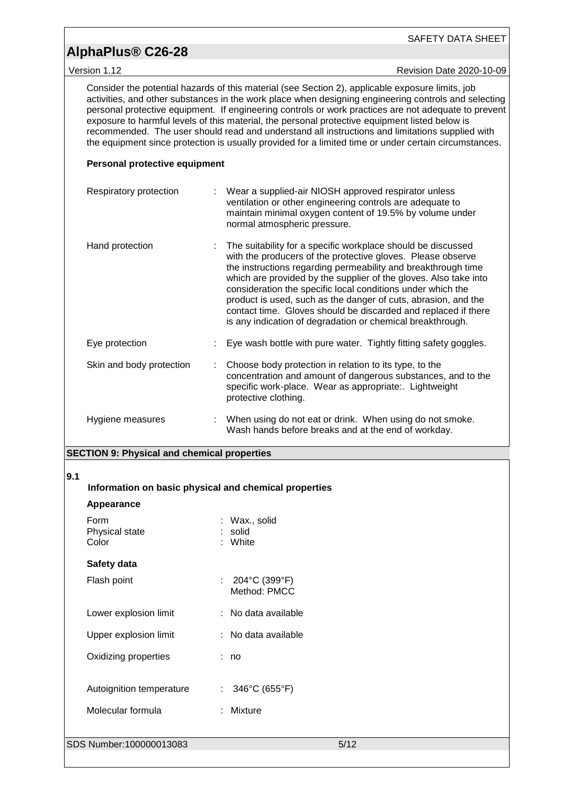# **AlphaPlus® C26-28**

Version 1.12 **Version 1.12** Revision Date 2020-10-09

Consider the potential hazards of this material (see Section 2), applicable exposure limits, job activities, and other substances in the work place when designing engineering controls and selecting personal protective equipment. If engineering controls or work practices are not adequate to prevent exposure to harmful levels of this material, the personal protective equipment listed below is recommended. The user should read and understand all instructions and limitations supplied with the equipment since protection is usually provided for a limited time or under certain circumstances.

## **Personal protective equipment**

| Respiratory protection   | : Wear a supplied-air NIOSH approved respirator unless<br>ventilation or other engineering controls are adequate to<br>maintain minimal oxygen content of 19.5% by volume under<br>normal atmospheric pressure.                                                                                                                                                                                                                                                                                                                   |
|--------------------------|-----------------------------------------------------------------------------------------------------------------------------------------------------------------------------------------------------------------------------------------------------------------------------------------------------------------------------------------------------------------------------------------------------------------------------------------------------------------------------------------------------------------------------------|
| Hand protection          | The suitability for a specific workplace should be discussed<br>with the producers of the protective gloves. Please observe<br>the instructions regarding permeability and breakthrough time<br>which are provided by the supplier of the gloves. Also take into<br>consideration the specific local conditions under which the<br>product is used, such as the danger of cuts, abrasion, and the<br>contact time. Gloves should be discarded and replaced if there<br>is any indication of degradation or chemical breakthrough. |
| Eye protection           | Eye wash bottle with pure water. Tightly fitting safety goggles.                                                                                                                                                                                                                                                                                                                                                                                                                                                                  |
| Skin and body protection | Choose body protection in relation to its type, to the<br>concentration and amount of dangerous substances, and to the<br>specific work-place. Wear as appropriate:. Lightweight<br>protective clothing.                                                                                                                                                                                                                                                                                                                          |
| Hygiene measures         | When using do not eat or drink. When using do not smoke.<br>Wash hands before breaks and at the end of workday.                                                                                                                                                                                                                                                                                                                                                                                                                   |

## **SECTION 9: Physical and chemical properties**

#### **9.1**

**Information on basic physical and chemical properties**

| Appearance                      |    |                                     |      |
|---------------------------------|----|-------------------------------------|------|
| Form<br>Physical state<br>Color |    | : Wax., solid<br>: solid<br>: White |      |
| Safety data                     |    |                                     |      |
| Flash point                     | ÷. | 204°C (399°F)<br>Method: PMCC       |      |
| Lower explosion limit           |    | : No data available                 |      |
| Upper explosion limit           |    | : No data available                 |      |
| Oxidizing properties            |    | : no                                |      |
| Autoignition temperature        | ÷. | 346°C (655°F)                       |      |
| Molecular formula               |    | : Mixture                           |      |
|                                 |    |                                     |      |
| SDS Number:100000013083         |    |                                     | 5/12 |
|                                 |    |                                     |      |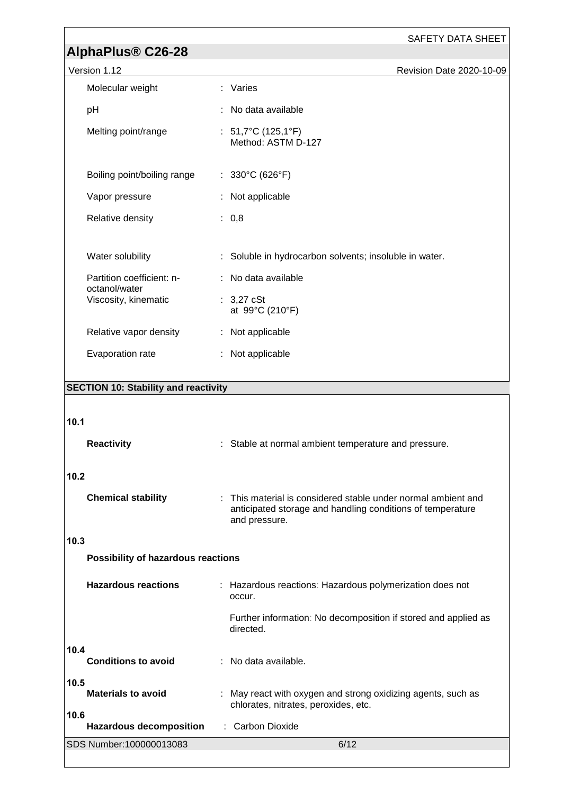# **AlphaPlus® C26-28**

| Version 1.12 |  |  |
|--------------|--|--|
|--------------|--|--|

| Version 1.12                          | Revision Date 2020-10-09                               |
|---------------------------------------|--------------------------------------------------------|
| Molecular weight                      | : Varies                                               |
| pH                                    | : No data available                                    |
| Melting point/range                   | : $51,7^{\circ}$ C (125,1°F)<br>Method: ASTM D-127     |
| Boiling point/boiling range           | : $330^{\circ}$ C (626°F)                              |
| Vapor pressure                        | : Not applicable                                       |
| Relative density                      | : 0,8                                                  |
| Water solubility                      | : Soluble in hydrocarbon solvents; insoluble in water. |
| Partition coefficient: n-             | : No data available                                    |
| octanol/water<br>Viscosity, kinematic | $\therefore$ 3,27 cSt<br>at 99°C (210°F)               |
| Relative vapor density                | : Not applicable                                       |

| Evaporation rate | : Not applicable |
|------------------|------------------|

# **SECTION 10: Stability and reactivity**

# **10.1**

| <b>Reactivity</b>          |                                           |                                      | : Stable at normal ambient temperature and pressure.                                                                        |
|----------------------------|-------------------------------------------|--------------------------------------|-----------------------------------------------------------------------------------------------------------------------------|
| 10.2                       |                                           |                                      |                                                                                                                             |
| <b>Chemical stability</b>  |                                           | and pressure.                        | : This material is considered stable under normal ambient and<br>anticipated storage and handling conditions of temperature |
| 10.3                       |                                           |                                      |                                                                                                                             |
|                            | <b>Possibility of hazardous reactions</b> |                                      |                                                                                                                             |
| <b>Hazardous reactions</b> |                                           | occur.                               | : Hazardous reactions: Hazardous polymerization does not                                                                    |
|                            |                                           | directed.                            | Further information: No decomposition if stored and applied as                                                              |
| 10.4                       |                                           |                                      |                                                                                                                             |
| <b>Conditions to avoid</b> |                                           | : No data available.                 |                                                                                                                             |
| 10.5                       |                                           |                                      |                                                                                                                             |
| <b>Materials to avoid</b>  |                                           | chlorates, nitrates, peroxides, etc. | : May react with oxygen and strong oxidizing agents, such as                                                                |
| 10.6                       | <b>Hazardous decomposition</b>            | : Carbon Dioxide                     |                                                                                                                             |
| SDS Number: 100000013083   |                                           |                                      | 6/12                                                                                                                        |
|                            |                                           |                                      |                                                                                                                             |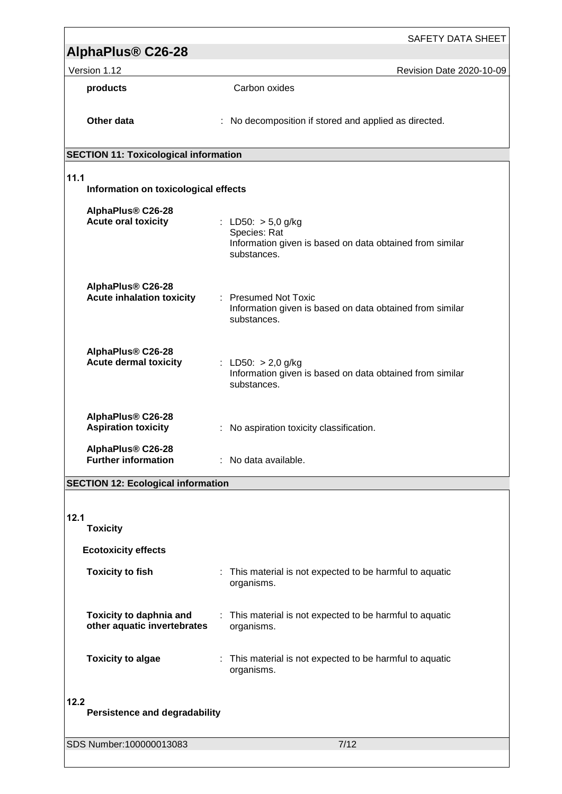| AlphaPlus <sup>®</sup> C26-28                                 | <b>SAFETY DATA SHEET</b>                                                                                        |  |  |  |  |  |  |  |
|---------------------------------------------------------------|-----------------------------------------------------------------------------------------------------------------|--|--|--|--|--|--|--|
| Version 1.12                                                  | Revision Date 2020-10-09                                                                                        |  |  |  |  |  |  |  |
| products                                                      | Carbon oxides                                                                                                   |  |  |  |  |  |  |  |
| Other data                                                    | : No decomposition if stored and applied as directed.                                                           |  |  |  |  |  |  |  |
| <b>SECTION 11: Toxicological information</b>                  |                                                                                                                 |  |  |  |  |  |  |  |
| 11.1<br>Information on toxicological effects                  |                                                                                                                 |  |  |  |  |  |  |  |
| AlphaPlus® C26-28<br><b>Acute oral toxicity</b>               | : LD50: $>$ 5,0 g/kg<br>Species: Rat<br>Information given is based on data obtained from similar<br>substances. |  |  |  |  |  |  |  |
| AlphaPlus® C26-28<br><b>Acute inhalation toxicity</b>         | : Presumed Not Toxic<br>Information given is based on data obtained from similar<br>substances.                 |  |  |  |  |  |  |  |
| AlphaPlus® C26-28<br><b>Acute dermal toxicity</b>             | : LD50: $> 2,0$ g/kg<br>Information given is based on data obtained from similar<br>substances.                 |  |  |  |  |  |  |  |
| AlphaPlus® C26-28<br><b>Aspiration toxicity</b>               | No aspiration toxicity classification.                                                                          |  |  |  |  |  |  |  |
| AlphaPlus® C26-28<br><b>Further information</b>               | : No data available.                                                                                            |  |  |  |  |  |  |  |
| <b>SECTION 12: Ecological information</b>                     |                                                                                                                 |  |  |  |  |  |  |  |
| 12.1<br><b>Toxicity</b>                                       |                                                                                                                 |  |  |  |  |  |  |  |
| <b>Ecotoxicity effects</b>                                    |                                                                                                                 |  |  |  |  |  |  |  |
| <b>Toxicity to fish</b>                                       | : This material is not expected to be harmful to aquatic<br>organisms.                                          |  |  |  |  |  |  |  |
| <b>Toxicity to daphnia and</b><br>other aquatic invertebrates | : This material is not expected to be harmful to aquatic<br>organisms.                                          |  |  |  |  |  |  |  |
| <b>Toxicity to algae</b>                                      | : This material is not expected to be harmful to aquatic<br>organisms.                                          |  |  |  |  |  |  |  |
| 12.2<br><b>Persistence and degradability</b>                  |                                                                                                                 |  |  |  |  |  |  |  |
| SDS Number: 100000013083                                      | 7/12                                                                                                            |  |  |  |  |  |  |  |
|                                                               |                                                                                                                 |  |  |  |  |  |  |  |

<u> 1989 - Johann Barbara, martxa alemaniar argametra (h. 1989).</u>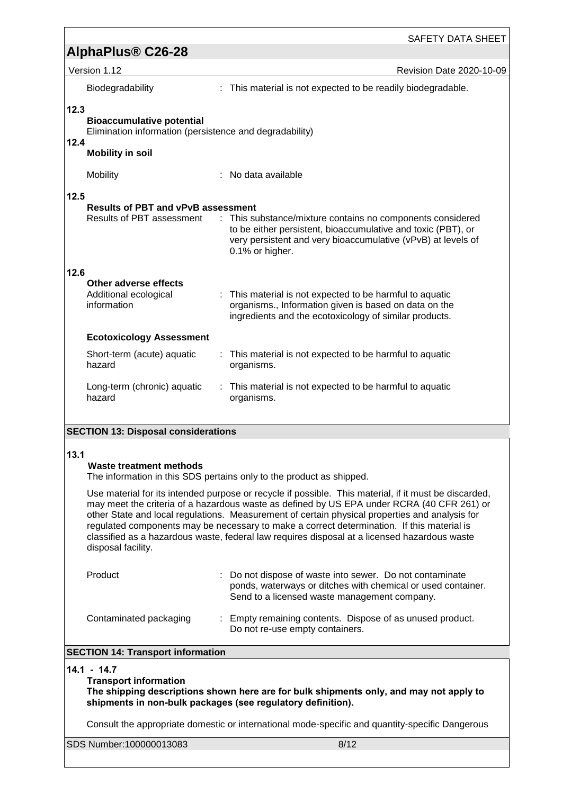|                                                                                                                                                                                                                                                                                                                                                                                                                                                                                                                           | <b>SAFETY DATA SHEET</b>                                                                                                                                                                                      |  |  |  |  |  |  |
|---------------------------------------------------------------------------------------------------------------------------------------------------------------------------------------------------------------------------------------------------------------------------------------------------------------------------------------------------------------------------------------------------------------------------------------------------------------------------------------------------------------------------|---------------------------------------------------------------------------------------------------------------------------------------------------------------------------------------------------------------|--|--|--|--|--|--|
| AlphaPlus <sup>®</sup> C26-28                                                                                                                                                                                                                                                                                                                                                                                                                                                                                             |                                                                                                                                                                                                               |  |  |  |  |  |  |
| Version 1.12                                                                                                                                                                                                                                                                                                                                                                                                                                                                                                              | <b>Revision Date 2020-10-09</b>                                                                                                                                                                               |  |  |  |  |  |  |
| Biodegradability                                                                                                                                                                                                                                                                                                                                                                                                                                                                                                          | : This material is not expected to be readily biodegradable.                                                                                                                                                  |  |  |  |  |  |  |
| 12.3<br><b>Bioaccumulative potential</b><br>Elimination information (persistence and degradability)<br>12.4<br><b>Mobility in soil</b>                                                                                                                                                                                                                                                                                                                                                                                    |                                                                                                                                                                                                               |  |  |  |  |  |  |
| Mobility                                                                                                                                                                                                                                                                                                                                                                                                                                                                                                                  | No data available                                                                                                                                                                                             |  |  |  |  |  |  |
| 12.5                                                                                                                                                                                                                                                                                                                                                                                                                                                                                                                      |                                                                                                                                                                                                               |  |  |  |  |  |  |
| <b>Results of PBT and vPvB assessment</b><br><b>Results of PBT assessment</b>                                                                                                                                                                                                                                                                                                                                                                                                                                             | : This substance/mixture contains no components considered<br>to be either persistent, bioaccumulative and toxic (PBT), or<br>very persistent and very bioaccumulative (vPvB) at levels of<br>0.1% or higher. |  |  |  |  |  |  |
| 12.6                                                                                                                                                                                                                                                                                                                                                                                                                                                                                                                      |                                                                                                                                                                                                               |  |  |  |  |  |  |
| Other adverse effects<br>Additional ecological<br>information                                                                                                                                                                                                                                                                                                                                                                                                                                                             | This material is not expected to be harmful to aquatic<br>organisms., Information given is based on data on the<br>ingredients and the ecotoxicology of similar products.                                     |  |  |  |  |  |  |
| <b>Ecotoxicology Assessment</b>                                                                                                                                                                                                                                                                                                                                                                                                                                                                                           |                                                                                                                                                                                                               |  |  |  |  |  |  |
| Short-term (acute) aquatic<br>hazard                                                                                                                                                                                                                                                                                                                                                                                                                                                                                      | This material is not expected to be harmful to aquatic<br>÷.<br>organisms.                                                                                                                                    |  |  |  |  |  |  |
| Long-term (chronic) aquatic<br>hazard                                                                                                                                                                                                                                                                                                                                                                                                                                                                                     | : This material is not expected to be harmful to aquatic<br>organisms.                                                                                                                                        |  |  |  |  |  |  |
| <b>SECTION 13: Disposal considerations</b>                                                                                                                                                                                                                                                                                                                                                                                                                                                                                |                                                                                                                                                                                                               |  |  |  |  |  |  |
|                                                                                                                                                                                                                                                                                                                                                                                                                                                                                                                           |                                                                                                                                                                                                               |  |  |  |  |  |  |
| 13.1<br><b>Waste treatment methods</b><br>The information in this SDS pertains only to the product as shipped.                                                                                                                                                                                                                                                                                                                                                                                                            |                                                                                                                                                                                                               |  |  |  |  |  |  |
| Use material for its intended purpose or recycle if possible. This material, if it must be discarded,<br>may meet the criteria of a hazardous waste as defined by US EPA under RCRA (40 CFR 261) or<br>other State and local regulations. Measurement of certain physical properties and analysis for<br>regulated components may be necessary to make a correct determination. If this material is<br>classified as a hazardous waste, federal law requires disposal at a licensed hazardous waste<br>disposal facility. |                                                                                                                                                                                                               |  |  |  |  |  |  |
| Product                                                                                                                                                                                                                                                                                                                                                                                                                                                                                                                   | Do not dispose of waste into sewer. Do not contaminate<br>ponds, waterways or ditches with chemical or used container.<br>Send to a licensed waste management company.                                        |  |  |  |  |  |  |
| Contaminated packaging                                                                                                                                                                                                                                                                                                                                                                                                                                                                                                    | : Empty remaining contents. Dispose of as unused product.<br>Do not re-use empty containers.                                                                                                                  |  |  |  |  |  |  |
| <b>SECTION 14: Transport information</b>                                                                                                                                                                                                                                                                                                                                                                                                                                                                                  |                                                                                                                                                                                                               |  |  |  |  |  |  |
| $14.1 - 14.7$<br><b>Transport information</b><br>The shipping descriptions shown here are for bulk shipments only, and may not apply to<br>shipments in non-bulk packages (see regulatory definition).                                                                                                                                                                                                                                                                                                                    |                                                                                                                                                                                                               |  |  |  |  |  |  |
| Consult the appropriate domestic or international mode-specific and quantity-specific Dangerous                                                                                                                                                                                                                                                                                                                                                                                                                           |                                                                                                                                                                                                               |  |  |  |  |  |  |
| SDS Number: 100000013083                                                                                                                                                                                                                                                                                                                                                                                                                                                                                                  | 8/12                                                                                                                                                                                                          |  |  |  |  |  |  |

<u> 1989 - Johann Stoff, fransk politik (</u>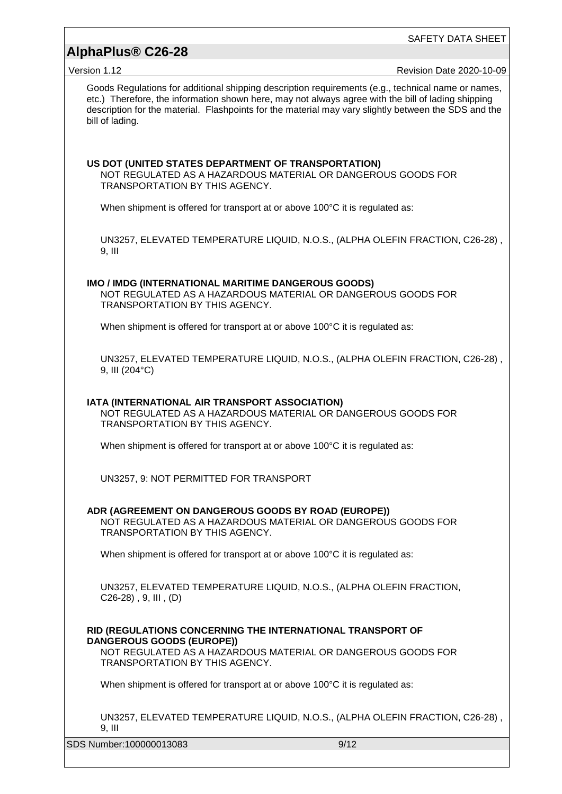# **AlphaPlus® C26-28**

SAFETY DATA SHEET

Version 1.12 Revision Date 2020-10-09

Goods Regulations for additional shipping description requirements (e.g., technical name or names, etc.) Therefore, the information shown here, may not always agree with the bill of lading shipping description for the material. Flashpoints for the material may vary slightly between the SDS and the bill of lading.

### **US DOT (UNITED STATES DEPARTMENT OF TRANSPORTATION)**

NOT REGULATED AS A HAZARDOUS MATERIAL OR DANGEROUS GOODS FOR TRANSPORTATION BY THIS AGENCY.

When shipment is offered for transport at or above 100°C it is regulated as:

UN3257, ELEVATED TEMPERATURE LIQUID, N.O.S., (ALPHA OLEFIN FRACTION, C26-28) , 9, III

#### **IMO / IMDG (INTERNATIONAL MARITIME DANGEROUS GOODS)**

NOT REGULATED AS A HAZARDOUS MATERIAL OR DANGEROUS GOODS FOR TRANSPORTATION BY THIS AGENCY.

When shipment is offered for transport at or above 100°C it is regulated as:

UN3257, ELEVATED TEMPERATURE LIQUID, N.O.S., (ALPHA OLEFIN FRACTION, C26-28) , 9, III (204°C)

## **IATA (INTERNATIONAL AIR TRANSPORT ASSOCIATION)**

NOT REGULATED AS A HAZARDOUS MATERIAL OR DANGEROUS GOODS FOR TRANSPORTATION BY THIS AGENCY.

When shipment is offered for transport at or above 100°C it is regulated as:

UN3257, 9: NOT PERMITTED FOR TRANSPORT

#### **ADR (AGREEMENT ON DANGEROUS GOODS BY ROAD (EUROPE))**

NOT REGULATED AS A HAZARDOUS MATERIAL OR DANGEROUS GOODS FOR TRANSPORTATION BY THIS AGENCY.

When shipment is offered for transport at or above 100°C it is regulated as:

UN3257, ELEVATED TEMPERATURE LIQUID, N.O.S., (ALPHA OLEFIN FRACTION, C26-28) , 9, III , (D)

**RID (REGULATIONS CONCERNING THE INTERNATIONAL TRANSPORT OF DANGEROUS GOODS (EUROPE))**

NOT REGULATED AS A HAZARDOUS MATERIAL OR DANGEROUS GOODS FOR TRANSPORTATION BY THIS AGENCY.

When shipment is offered for transport at or above 100°C it is regulated as:

UN3257, ELEVATED TEMPERATURE LIQUID, N.O.S., (ALPHA OLEFIN FRACTION, C26-28) , 9, III

SDS Number:100000013083 9/12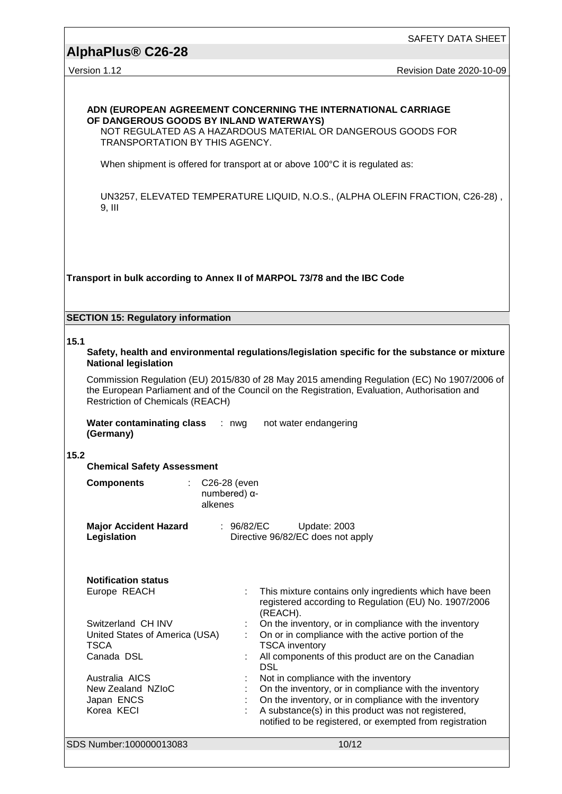# **AlphaPlus® C26-28**

# Version 1.12 **New Search 2020-10-09** Revision Date 2020-10-09 **ADN (EUROPEAN AGREEMENT CONCERNING THE INTERNATIONAL CARRIAGE OF DANGEROUS GOODS BY INLAND WATERWAYS)** NOT REGULATED AS A HAZARDOUS MATERIAL OR DANGEROUS GOODS FOR TRANSPORTATION BY THIS AGENCY. When shipment is offered for transport at or above 100°C it is regulated as: UN3257, ELEVATED TEMPERATURE LIQUID, N.O.S., (ALPHA OLEFIN FRACTION, C26-28) , 9, III **Transport in bulk according to Annex II of MARPOL 73/78 and the IBC Code SECTION 15: Regulatory information 15.1 Safety, health and environmental regulations/legislation specific for the substance or mixture National legislation** Commission Regulation (EU) 2015/830 of 28 May 2015 amending Regulation (EC) No 1907/2006 of the European Parliament and of the Council on the Registration, Evaluation, Authorisation and Restriction of Chemicals (REACH) **Water contaminating class** : nwg **(Germany)** not water endangering **15.2 Chemical Safety Assessment Components** : C26-28 (even numbered) αalkenes **Major Accident Hazard Legislation** : 96/82/EC Update: 2003 Directive 96/82/EC does not apply **Notification status**

| NUULLULALIUII SLALUS                          |                                                                                                                               |
|-----------------------------------------------|-------------------------------------------------------------------------------------------------------------------------------|
| Europe REACH                                  | : This mixture contains only ingredients which have been<br>registered according to Regulation (EU) No. 1907/2006<br>(REACH). |
| Switzerland CH INV                            | On the inventory, or in compliance with the inventory                                                                         |
| United States of America (USA)<br><b>TSCA</b> | On or in compliance with the active portion of the<br><b>TSCA inventory</b>                                                   |
| Canada DSL                                    | All components of this product are on the Canadian<br><b>DSL</b>                                                              |
| Australia AICS                                | Not in compliance with the inventory                                                                                          |
| New Zealand NZIoC                             | On the inventory, or in compliance with the inventory                                                                         |
| Japan ENCS                                    | On the inventory, or in compliance with the inventory                                                                         |
| Korea KECI                                    | A substance(s) in this product was not registered,<br>notified to be registered, or exempted from registration                |
| SDS Number:100000013083                       | 10/12                                                                                                                         |
|                                               |                                                                                                                               |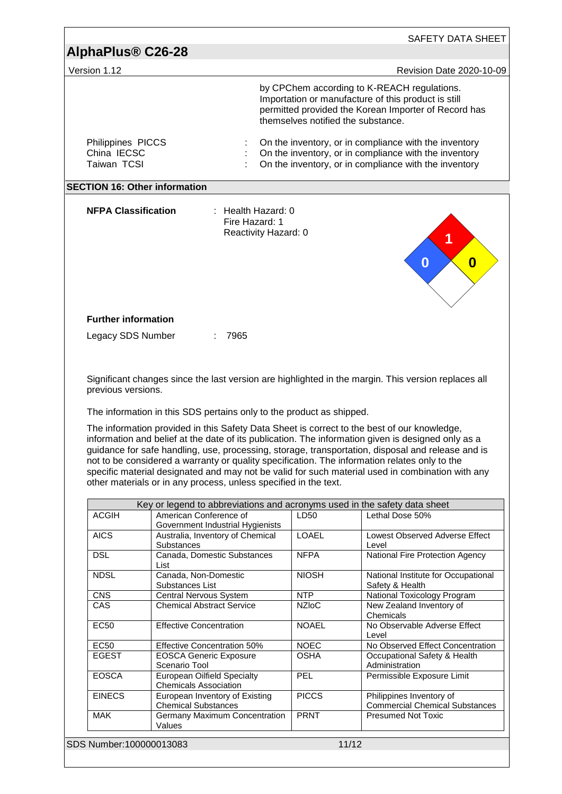| AlphaPlus <sup>®</sup> C26-28<br>Version 1.12   |                                                                                                                                                                                                                                                                                                                                                                                                                                                                                                                                                                                 |              |                                                                                                                                                                                                  |
|-------------------------------------------------|---------------------------------------------------------------------------------------------------------------------------------------------------------------------------------------------------------------------------------------------------------------------------------------------------------------------------------------------------------------------------------------------------------------------------------------------------------------------------------------------------------------------------------------------------------------------------------|--------------|--------------------------------------------------------------------------------------------------------------------------------------------------------------------------------------------------|
|                                                 |                                                                                                                                                                                                                                                                                                                                                                                                                                                                                                                                                                                 |              | Revision Date 2020-10-09                                                                                                                                                                         |
|                                                 |                                                                                                                                                                                                                                                                                                                                                                                                                                                                                                                                                                                 |              | by CPChem according to K-REACH regulations.<br>Importation or manufacture of this product is still<br>permitted provided the Korean Importer of Record has<br>themselves notified the substance. |
| Philippines PICCS<br>China IECSC<br>Taiwan TCSI |                                                                                                                                                                                                                                                                                                                                                                                                                                                                                                                                                                                 |              | On the inventory, or in compliance with the inventory<br>On the inventory, or in compliance with the inventory<br>On the inventory, or in compliance with the inventory                          |
|                                                 | <b>SECTION 16: Other information</b>                                                                                                                                                                                                                                                                                                                                                                                                                                                                                                                                            |              |                                                                                                                                                                                                  |
| <b>NFPA Classification</b>                      | : Health Hazard: 0<br>Fire Hazard: 1<br>Reactivity Hazard: 0                                                                                                                                                                                                                                                                                                                                                                                                                                                                                                                    |              | 1<br>$\bf{0}$<br>$\boldsymbol{0}$                                                                                                                                                                |
| <b>Further information</b>                      |                                                                                                                                                                                                                                                                                                                                                                                                                                                                                                                                                                                 |              |                                                                                                                                                                                                  |
| Legacy SDS Number                               | 7965                                                                                                                                                                                                                                                                                                                                                                                                                                                                                                                                                                            |              |                                                                                                                                                                                                  |
| previous versions.                              | The information in this SDS pertains only to the product as shipped.                                                                                                                                                                                                                                                                                                                                                                                                                                                                                                            |              | Significant changes since the last version are highlighted in the margin. This version replaces all                                                                                              |
|                                                 | The information provided in this Safety Data Sheet is correct to the best of our knowledge,<br>information and belief at the date of its publication. The information given is designed only as a<br>guidance for safe handling, use, processing, storage, transportation, disposal and release and is<br>not to be considered a warranty or quality specification. The information relates only to the<br>specific material designated and may not be valid for such material used in combination with any<br>other materials or in any process, unless specified in the text. |              |                                                                                                                                                                                                  |
|                                                 |                                                                                                                                                                                                                                                                                                                                                                                                                                                                                                                                                                                 |              |                                                                                                                                                                                                  |
| <b>ACGIH</b>                                    | Key or legend to abbreviations and acronyms used in the safety data sheet<br>American Conference of                                                                                                                                                                                                                                                                                                                                                                                                                                                                             | LD50         | Lethal Dose 50%                                                                                                                                                                                  |
| <b>AICS</b>                                     | Government Industrial Hygienists<br>Australia, Inventory of Chemical                                                                                                                                                                                                                                                                                                                                                                                                                                                                                                            | LOAEL        |                                                                                                                                                                                                  |
| <b>DSL</b>                                      | Substances<br>Canada, Domestic Substances                                                                                                                                                                                                                                                                                                                                                                                                                                                                                                                                       | <b>NFPA</b>  | Level                                                                                                                                                                                            |
| <b>NDSL</b>                                     | List<br>Canada, Non-Domestic                                                                                                                                                                                                                                                                                                                                                                                                                                                                                                                                                    | <b>NIOSH</b> | National Fire Protection Agency                                                                                                                                                                  |
| <b>CNS</b>                                      | Substances List<br><b>Central Nervous System</b>                                                                                                                                                                                                                                                                                                                                                                                                                                                                                                                                | <b>NTP</b>   | Safety & Health                                                                                                                                                                                  |
| CAS                                             | <b>Chemical Abstract Service</b>                                                                                                                                                                                                                                                                                                                                                                                                                                                                                                                                                | <b>NZIoC</b> | <b>National Toxicology Program</b><br>New Zealand Inventory of<br>Chemicals                                                                                                                      |
| <b>EC50</b>                                     | <b>Effective Concentration</b>                                                                                                                                                                                                                                                                                                                                                                                                                                                                                                                                                  | <b>NOAEL</b> | No Observable Adverse Effect<br>Level                                                                                                                                                            |
| <b>EC50</b>                                     |                                                                                                                                                                                                                                                                                                                                                                                                                                                                                                                                                                                 | <b>NOEC</b>  |                                                                                                                                                                                                  |
| <b>EGEST</b>                                    | Effective Concentration 50%<br><b>EOSCA Generic Exposure</b><br>Scenario Tool                                                                                                                                                                                                                                                                                                                                                                                                                                                                                                   | <b>OSHA</b>  | Occupational Safety & Health<br>Administration                                                                                                                                                   |
| <b>EOSCA</b>                                    | <b>European Oilfield Specialty</b><br><b>Chemicals Association</b>                                                                                                                                                                                                                                                                                                                                                                                                                                                                                                              | PEL          | Permissible Exposure Limit                                                                                                                                                                       |
| <b>EINECS</b>                                   | European Inventory of Existing                                                                                                                                                                                                                                                                                                                                                                                                                                                                                                                                                  | <b>PICCS</b> | Philippines Inventory of                                                                                                                                                                         |
| <b>MAK</b>                                      | <b>Chemical Substances</b><br>Germany Maximum Concentration<br>Values                                                                                                                                                                                                                                                                                                                                                                                                                                                                                                           | <b>PRNT</b>  | Lowest Observed Adverse Effect<br>National Institute for Occupational<br>No Observed Effect Concentration<br><b>Commercial Chemical Substances</b><br><b>Presumed Not Toxic</b>                  |